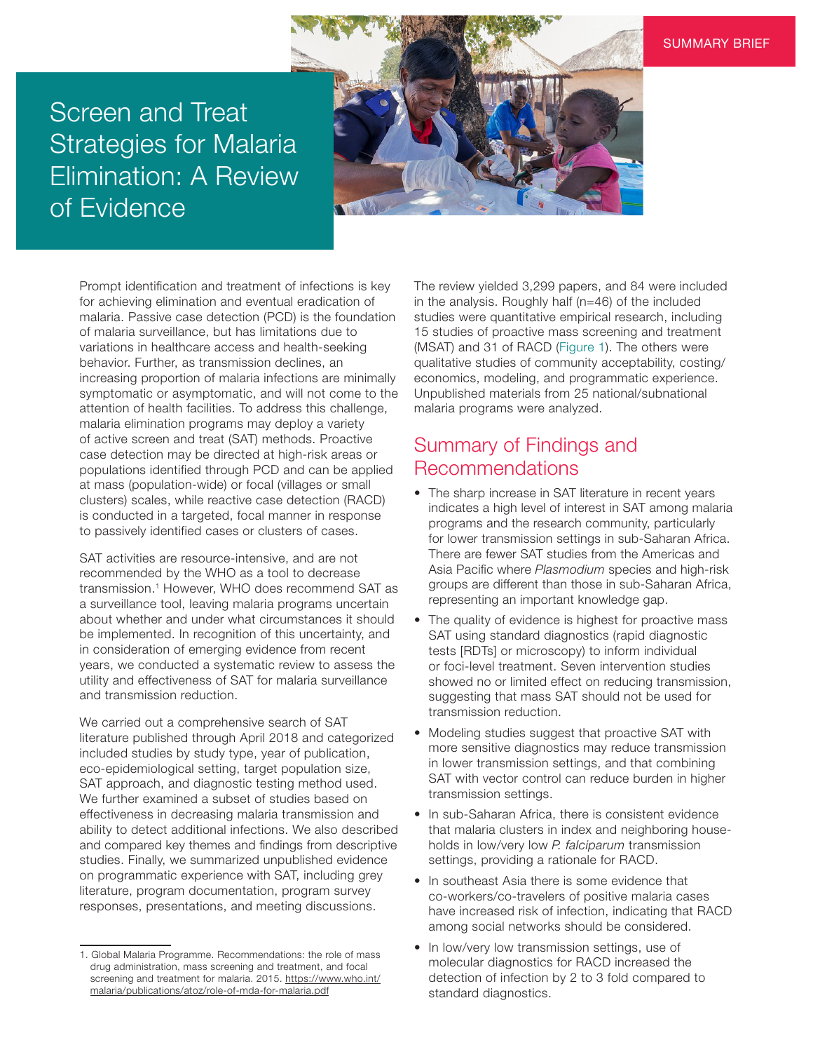#### SUMMARY BRIEF

# Screen and Treat Strategies for Malaria Elimination: A Review of Evidence



Prompt identification and treatment of infections is key for achieving elimination and eventual eradication of malaria. Passive case detection (PCD) is the foundation of malaria surveillance, but has limitations due to variations in healthcare access and health-seeking behavior. Further, as transmission declines, an increasing proportion of malaria infections are minimally symptomatic or asymptomatic, and will not come to the attention of health facilities. To address this challenge, malaria elimination programs may deploy a variety of active screen and treat (SAT) methods. Proactive case detection may be directed at high-risk areas or populations identified through PCD and can be applied at mass (population-wide) or focal (villages or small clusters) scales, while reactive case detection (RACD) is conducted in a targeted, focal manner in response to passively identified cases or clusters of cases.

SAT activities are resource-intensive, and are not recommended by the WHO as a tool to decrease transmission.<sup>1</sup> However, WHO does recommend SAT as a surveillance tool, leaving malaria programs uncertain about whether and under what circumstances it should be implemented. In recognition of this uncertainty, and in consideration of emerging evidence from recent years, we conducted a systematic review to assess the utility and effectiveness of SAT for malaria surveillance and transmission reduction.

We carried out a comprehensive search of SAT literature published through April 2018 and categorized included studies by study type, year of publication, eco-epidemiological setting, target population size, SAT approach, and diagnostic testing method used. We further examined a subset of studies based on effectiveness in decreasing malaria transmission and ability to detect additional infections. We also described and compared key themes and findings from descriptive studies. Finally, we summarized unpublished evidence on programmatic experience with SAT, including grey literature, program documentation, program survey responses, presentations, and meeting discussions.

The review yielded 3,299 papers, and 84 were included in the analysis. Roughly half (n=46) of the included studies were quantitative empirical research, including 15 studies of proactive mass screening and treatment (MSAT) and 31 of RACD (Figure 1). The others were qualitative studies of community acceptability, costing/ economics, modeling, and programmatic experience. Unpublished materials from 25 national/subnational malaria programs were analyzed.

## Summary of Findings and Recommendations

- The sharp increase in SAT literature in recent years indicates a high level of interest in SAT among malaria programs and the research community, particularly for lower transmission settings in sub-Saharan Africa. There are fewer SAT studies from the Americas and Asia Pacific where *Plasmodium* species and high-risk groups are different than those in sub-Saharan Africa, representing an important knowledge gap.
- The quality of evidence is highest for proactive mass SAT using standard diagnostics (rapid diagnostic tests [RDTs] or microscopy) to inform individual or foci-level treatment. Seven intervention studies showed no or limited effect on reducing transmission, suggesting that mass SAT should not be used for transmission reduction.
- Modeling studies suggest that proactive SAT with more sensitive diagnostics may reduce transmission in lower transmission settings, and that combining SAT with vector control can reduce burden in higher transmission settings.
- In sub-Saharan Africa, there is consistent evidence that malaria clusters in index and neighboring households in low/very low *P. falciparum* transmission settings, providing a rationale for RACD.
- In southeast Asia there is some evidence that co-workers/co-travelers of positive malaria cases have increased risk of infection, indicating that RACD among social networks should be considered.
- In low/very low transmission settings, use of molecular diagnostics for RACD increased the detection of infection by 2 to 3 fold compared to standard diagnostics.

<sup>1.</sup> Global Malaria Programme. Recommendations: the role of mass drug administration, mass screening and treatment, and focal screening and treatment for malaria. 2015. [https://www.who.int/](https://www.who.int/malaria/publications/atoz/role-of-mda-for-malaria.pdf) [malaria/publications/atoz/role-of-mda-for-malaria.pdf](https://www.who.int/malaria/publications/atoz/role-of-mda-for-malaria.pdf)